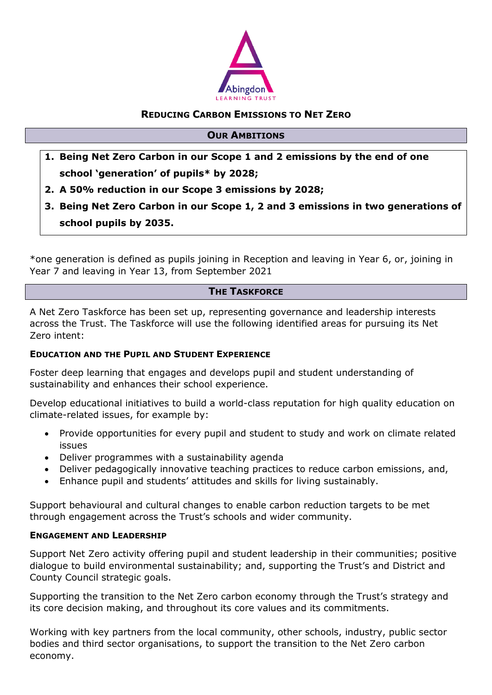

### **REDUCING CARBON EMISSIONS TO NET ZERO**

#### **OUR AMBITIONS**

- **1. Being Net Zero Carbon in our Scope 1 and 2 emissions by the end of one school 'generation' of pupils\* by 2028;**
- **2. A 50% reduction in our Scope 3 emissions by 2028;**
- **3. Being Net Zero Carbon in our Scope 1, 2 and 3 emissions in two generations of school pupils by 2035.**

\*one generation is defined as pupils joining in Reception and leaving in Year 6, or, joining in Year 7 and leaving in Year 13, from September 2021

## **THE TASKFORCE**

A Net Zero Taskforce has been set up, representing governance and leadership interests across the Trust. The Taskforce will use the following identified areas for pursuing its Net Zero intent:

#### **EDUCATION AND THE PUPIL AND STUDENT EXPERIENCE**

Foster deep learning that engages and develops pupil and student understanding of sustainability and enhances their school experience.

Develop educational initiatives to build a world-class reputation for high quality education on climate-related issues, for example by:

- Provide opportunities for every pupil and student to study and work on climate related issues
- Deliver programmes with a sustainability agenda
- Deliver pedagogically innovative teaching practices to reduce carbon emissions, and,
- Enhance pupil and students' attitudes and skills for living sustainably.

Support behavioural and cultural changes to enable carbon reduction targets to be met through engagement across the Trust's schools and wider community.

#### **ENGAGEMENT AND LEADERSHIP**

Support Net Zero activity offering pupil and student leadership in their communities; positive dialogue to build environmental sustainability; and, supporting the Trust's and District and County Council strategic goals.

Supporting the transition to the Net Zero carbon economy through the Trust's strategy and its core decision making, and throughout its core values and its commitments.

Working with key partners from the local community, other schools, industry, public sector bodies and third sector organisations, to support the transition to the Net Zero carbon economy.